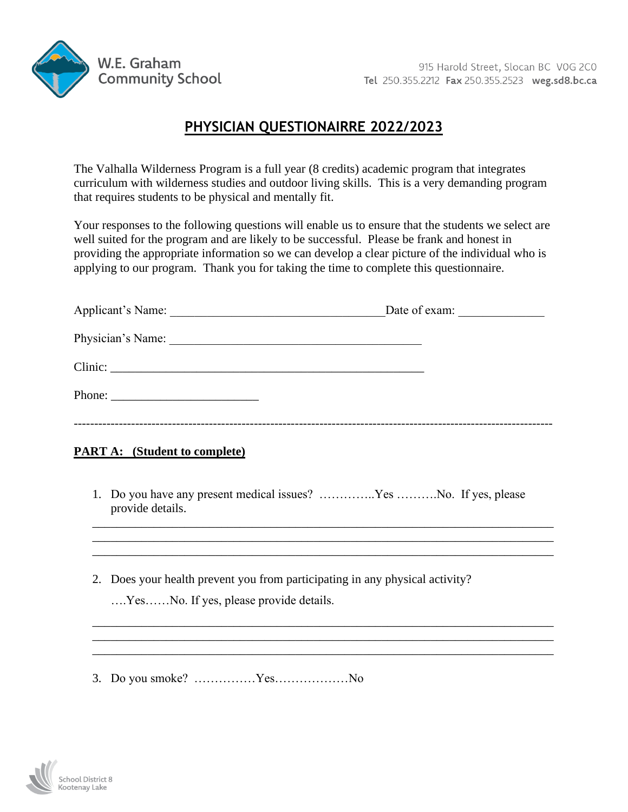

## **PHYSICIAN QUESTIONAIRRE 2022/2023**

The Valhalla Wilderness Program is a full year (8 credits) academic program that integrates curriculum with wilderness studies and outdoor living skills. This is a very demanding program that requires students to be physical and mentally fit.

Your responses to the following questions will enable us to ensure that the students we select are well suited for the program and are likely to be successful. Please be frank and honest in providing the appropriate information so we can develop a clear picture of the individual who is applying to our program. Thank you for taking the time to complete this questionnaire.

|                                                                                                                | Date of exam: |  |
|----------------------------------------------------------------------------------------------------------------|---------------|--|
| Physician's Name: 1988. [19] Manual Manual Manual Manual Manual Manual Manual Manual Manual Manual Manual Manu |               |  |
|                                                                                                                |               |  |
|                                                                                                                |               |  |
|                                                                                                                |               |  |

### **PART A: (Student to complete)**

1. Do you have any present medical issues? …………..Yes ……….No. If yes, please provide details.

\_\_\_\_\_\_\_\_\_\_\_\_\_\_\_\_\_\_\_\_\_\_\_\_\_\_\_\_\_\_\_\_\_\_\_\_\_\_\_\_\_\_\_\_\_\_\_\_\_\_\_\_\_\_\_\_\_\_\_\_\_\_\_\_\_\_\_\_\_\_\_\_\_\_\_ \_\_\_\_\_\_\_\_\_\_\_\_\_\_\_\_\_\_\_\_\_\_\_\_\_\_\_\_\_\_\_\_\_\_\_\_\_\_\_\_\_\_\_\_\_\_\_\_\_\_\_\_\_\_\_\_\_\_\_\_\_\_\_\_\_\_\_\_\_\_\_\_\_\_\_ \_\_\_\_\_\_\_\_\_\_\_\_\_\_\_\_\_\_\_\_\_\_\_\_\_\_\_\_\_\_\_\_\_\_\_\_\_\_\_\_\_\_\_\_\_\_\_\_\_\_\_\_\_\_\_\_\_\_\_\_\_\_\_\_\_\_\_\_\_\_\_\_\_\_\_

\_\_\_\_\_\_\_\_\_\_\_\_\_\_\_\_\_\_\_\_\_\_\_\_\_\_\_\_\_\_\_\_\_\_\_\_\_\_\_\_\_\_\_\_\_\_\_\_\_\_\_\_\_\_\_\_\_\_\_\_\_\_\_\_\_\_\_\_\_\_\_\_\_\_\_ \_\_\_\_\_\_\_\_\_\_\_\_\_\_\_\_\_\_\_\_\_\_\_\_\_\_\_\_\_\_\_\_\_\_\_\_\_\_\_\_\_\_\_\_\_\_\_\_\_\_\_\_\_\_\_\_\_\_\_\_\_\_\_\_\_\_\_\_\_\_\_\_\_\_\_ \_\_\_\_\_\_\_\_\_\_\_\_\_\_\_\_\_\_\_\_\_\_\_\_\_\_\_\_\_\_\_\_\_\_\_\_\_\_\_\_\_\_\_\_\_\_\_\_\_\_\_\_\_\_\_\_\_\_\_\_\_\_\_\_\_\_\_\_\_\_\_\_\_\_\_

- 2. Does your health prevent you from participating in any physical activity?
	- ….Yes……No. If yes, please provide details.
- 3. Do you smoke? ……………Yes………………No

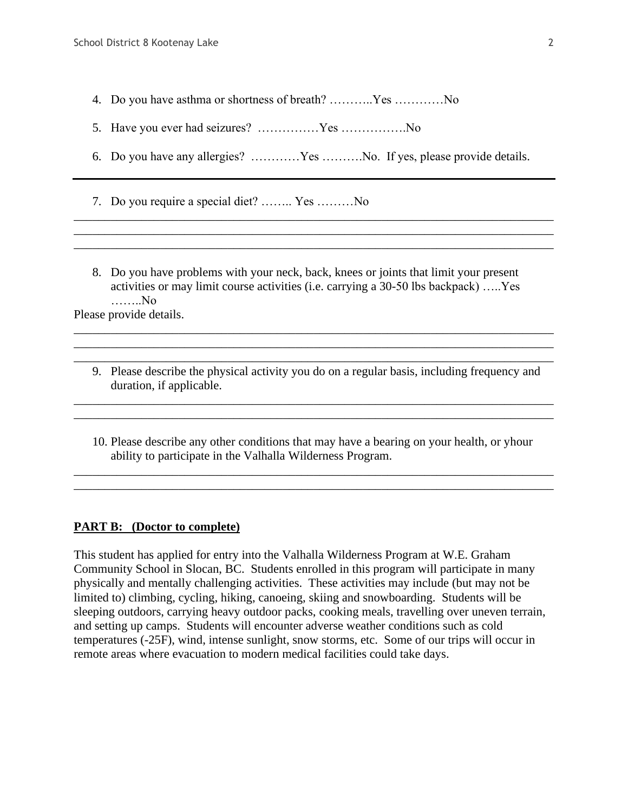- 4. Do you have asthma or shortness of breath? ………..Yes …………No
- 5. Have you ever had seizures? ……………Yes …………….No
- 6. Do you have any allergies? …………Yes ……….No. If yes, please provide details.

\_\_\_\_\_\_\_\_\_\_\_\_\_\_\_\_\_\_\_\_\_\_\_\_\_\_\_\_\_\_\_\_\_\_\_\_\_\_\_\_\_\_\_\_\_\_\_\_\_\_\_\_\_\_\_\_\_\_\_\_\_\_\_\_\_\_\_\_\_\_\_\_\_\_\_\_\_\_ \_\_\_\_\_\_\_\_\_\_\_\_\_\_\_\_\_\_\_\_\_\_\_\_\_\_\_\_\_\_\_\_\_\_\_\_\_\_\_\_\_\_\_\_\_\_\_\_\_\_\_\_\_\_\_\_\_\_\_\_\_\_\_\_\_\_\_\_\_\_\_\_\_\_\_\_\_\_ \_\_\_\_\_\_\_\_\_\_\_\_\_\_\_\_\_\_\_\_\_\_\_\_\_\_\_\_\_\_\_\_\_\_\_\_\_\_\_\_\_\_\_\_\_\_\_\_\_\_\_\_\_\_\_\_\_\_\_\_\_\_\_\_\_\_\_\_\_\_\_\_\_\_\_\_\_\_

- 7. Do you require a special diet? …….. Yes ………No
- 8. Do you have problems with your neck, back, knees or joints that limit your present activities or may limit course activities (i.e. carrying a 30-50 lbs backpack) …..Yes ……..No

Please provide details.

9. Please describe the physical activity you do on a regular basis, including frequency and duration, if applicable.

\_\_\_\_\_\_\_\_\_\_\_\_\_\_\_\_\_\_\_\_\_\_\_\_\_\_\_\_\_\_\_\_\_\_\_\_\_\_\_\_\_\_\_\_\_\_\_\_\_\_\_\_\_\_\_\_\_\_\_\_\_\_\_\_\_\_\_\_\_\_\_\_\_\_\_\_\_\_ \_\_\_\_\_\_\_\_\_\_\_\_\_\_\_\_\_\_\_\_\_\_\_\_\_\_\_\_\_\_\_\_\_\_\_\_\_\_\_\_\_\_\_\_\_\_\_\_\_\_\_\_\_\_\_\_\_\_\_\_\_\_\_\_\_\_\_\_\_\_\_\_\_\_\_\_\_\_

\_\_\_\_\_\_\_\_\_\_\_\_\_\_\_\_\_\_\_\_\_\_\_\_\_\_\_\_\_\_\_\_\_\_\_\_\_\_\_\_\_\_\_\_\_\_\_\_\_\_\_\_\_\_\_\_\_\_\_\_\_\_\_\_\_\_\_\_\_\_\_\_\_\_\_\_\_\_ \_\_\_\_\_\_\_\_\_\_\_\_\_\_\_\_\_\_\_\_\_\_\_\_\_\_\_\_\_\_\_\_\_\_\_\_\_\_\_\_\_\_\_\_\_\_\_\_\_\_\_\_\_\_\_\_\_\_\_\_\_\_\_\_\_\_\_\_\_\_\_\_\_\_\_\_\_\_ \_\_\_\_\_\_\_\_\_\_\_\_\_\_\_\_\_\_\_\_\_\_\_\_\_\_\_\_\_\_\_\_\_\_\_\_\_\_\_\_\_\_\_\_\_\_\_\_\_\_\_\_\_\_\_\_\_\_\_\_\_\_\_\_\_\_\_\_\_\_\_\_\_\_\_\_\_\_

10. Please describe any other conditions that may have a bearing on your health, or yhour ability to participate in the Valhalla Wilderness Program.

\_\_\_\_\_\_\_\_\_\_\_\_\_\_\_\_\_\_\_\_\_\_\_\_\_\_\_\_\_\_\_\_\_\_\_\_\_\_\_\_\_\_\_\_\_\_\_\_\_\_\_\_\_\_\_\_\_\_\_\_\_\_\_\_\_\_\_\_\_\_\_\_\_\_\_\_\_\_ \_\_\_\_\_\_\_\_\_\_\_\_\_\_\_\_\_\_\_\_\_\_\_\_\_\_\_\_\_\_\_\_\_\_\_\_\_\_\_\_\_\_\_\_\_\_\_\_\_\_\_\_\_\_\_\_\_\_\_\_\_\_\_\_\_\_\_\_\_\_\_\_\_\_\_\_\_\_

#### **PART B: (Doctor to complete)**

This student has applied for entry into the Valhalla Wilderness Program at W.E. Graham Community School in Slocan, BC. Students enrolled in this program will participate in many physically and mentally challenging activities. These activities may include (but may not be limited to) climbing, cycling, hiking, canoeing, skiing and snowboarding. Students will be sleeping outdoors, carrying heavy outdoor packs, cooking meals, travelling over uneven terrain, and setting up camps. Students will encounter adverse weather conditions such as cold temperatures (-25F), wind, intense sunlight, snow storms, etc. Some of our trips will occur in remote areas where evacuation to modern medical facilities could take days.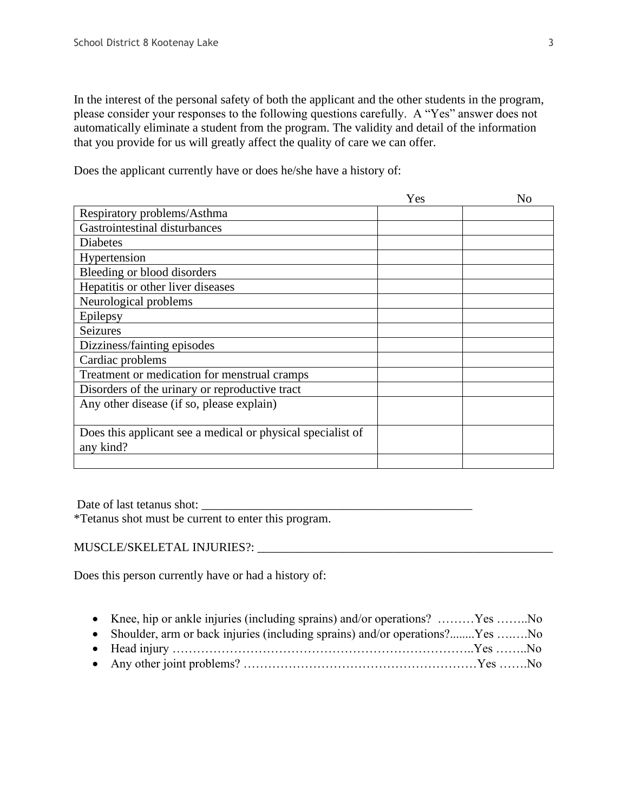In the interest of the personal safety of both the applicant and the other students in the program, please consider your responses to the following questions carefully. A "Yes" answer does not automatically eliminate a student from the program. The validity and detail of the information that you provide for us will greatly affect the quality of care we can offer.

Does the applicant currently have or does he/she have a history of:

|                                                             | Yes | N <sub>o</sub> |
|-------------------------------------------------------------|-----|----------------|
| Respiratory problems/Asthma                                 |     |                |
| Gastrointestinal disturbances                               |     |                |
| Diabetes                                                    |     |                |
| Hypertension                                                |     |                |
| Bleeding or blood disorders                                 |     |                |
| Hepatitis or other liver diseases                           |     |                |
| Neurological problems                                       |     |                |
| Epilepsy                                                    |     |                |
| <b>Seizures</b>                                             |     |                |
| Dizziness/fainting episodes                                 |     |                |
| Cardiac problems                                            |     |                |
| Treatment or medication for menstrual cramps                |     |                |
| Disorders of the urinary or reproductive tract              |     |                |
| Any other disease (if so, please explain)                   |     |                |
|                                                             |     |                |
| Does this applicant see a medical or physical specialist of |     |                |
| any kind?                                                   |     |                |
|                                                             |     |                |

Date of last tetanus shot:

\*Tetanus shot must be current to enter this program.

# MUSCLE/SKELETAL INJURIES?: \_\_\_\_\_\_\_\_\_\_\_\_\_\_\_\_\_\_\_\_\_\_\_\_\_\_\_\_\_\_\_\_\_\_\_\_\_\_\_\_\_\_\_\_\_\_\_\_

Does this person currently have or had a history of:

|  |  |  |  |  | • Knee, hip or ankle injuries (including sprains) and/or operations? Yes No |
|--|--|--|--|--|-----------------------------------------------------------------------------|
|--|--|--|--|--|-----------------------------------------------------------------------------|

- Shoulder, arm or back injuries (including sprains) and/or operations?........Yes ........No • Head injury ………………………………………………………………..Yes ……..No
- Any other joint problems? …………………………………………………Yes …….No